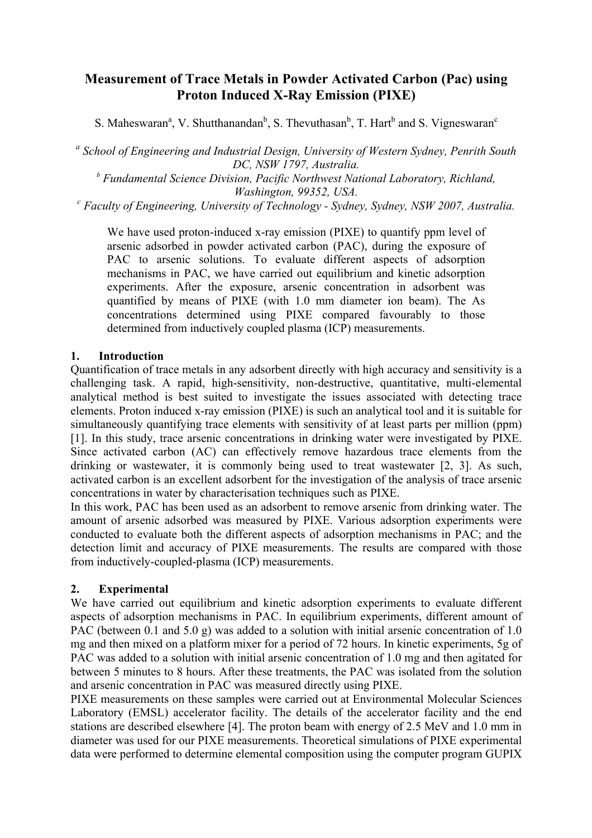# **Measurement of Trace Metals in Powder Activated Carbon (Pac) using Proton Induced X-Ray Emission (PIXE)**

S. Maheswaran<sup>a</sup>, V. Shutthanandan<sup>b</sup>, S. Thevuthasan<sup>b</sup>, T. Hart<sup>b</sup> and S. Vigneswaran<sup>c</sup>

<sup>a</sup> School of Engineering and Industrial Design, University of Western Sydney, Penrith South *DC, NSW 1797, Australia.* 

*<sup>b</sup> Fundamental Science Division, Pacific Northwest National Laboratory, Richland,* 

*Washington, 99352, USA.*<br>C Faculty of Engineering, University of Technology - Sydney, Sydney, NSW 2007, Australia. <sup>C</sup>

We have used proton-induced x-ray emission (PIXE) to quantify ppm level of arsenic adsorbed in powder activated carbon (PAC), during the exposure of PAC to arsenic solutions. To evaluate different aspects of adsorption mechanisms in PAC, we have carried out equilibrium and kinetic adsorption experiments. After the exposure, arsenic concentration in adsorbent was quantified by means of PIXE (with 1.0 mm diameter ion beam). The As concentrations determined using PIXE compared favourably to those determined from inductively coupled plasma (ICP) measurements.

# **1. Introduction**

Quantification of trace metals in any adsorbent directly with high accuracy and sensitivity is a challenging task. A rapid, high-sensitivity, non-destructive, quantitative, multi-elemental analytical method is best suited to investigate the issues associated with detecting trace elements. Proton induced x-ray emission (PIXE) is such an analytical tool and it is suitable for simultaneously quantifying trace elements with sensitivity of at least parts per million (ppm) [1]. In this study, trace arsenic concentrations in drinking water were investigated by PIXE. Since activated carbon (AC) can effectively remove hazardous trace elements from the drinking or wastewater, it is commonly being used to treat wastewater [2, 3]. As such, activated carbon is an excellent adsorbent for the investigation of the analysis of trace arsenic concentrations in water by characterisation techniques such as PIXE.

In this work, PAC has been used as an adsorbent to remove arsenic from drinking water. The amount of arsenic adsorbed was measured by PIXE. Various adsorption experiments were conducted to evaluate both the different aspects of adsorption mechanisms in PAC; and the detection limit and accuracy of PIXE measurements. The results are compared with those from inductively-coupled-plasma (ICP) measurements.

# **2. Experimental**

We have carried out equilibrium and kinetic adsorption experiments to evaluate different aspects of adsorption mechanisms in PAC. In equilibrium experiments, different amount of PAC (between 0.1 and 5.0 g) was added to a solution with initial arsenic concentration of 1.0 mg and then mixed on a platform mixer for a period of 72 hours. In kinetic experiments, 5g of PAC was added to a solution with initial arsenic concentration of 1.0 mg and then agitated for between 5 minutes to 8 hours. After these treatments, the PAC was isolated from the solution and arsenic concentration in PAC was measured directly using PIXE.

PIXE measurements on these samples were carried out at Environmental Molecular Sciences Laboratory (EMSL) accelerator facility. The details of the accelerator facility and the end stations are described elsewhere [4]. The proton beam with energy of 2.5 MeV and 1.0 mm in diameter was used for our PIXE measurements. Theoretical simulations of PIXE experimental data were performed to determine elemental composition using the computer program GUPIX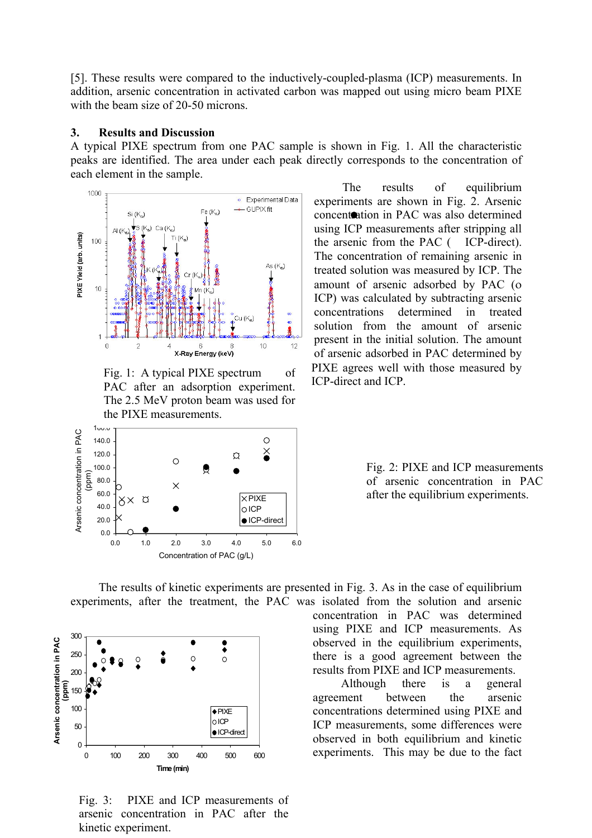[5]. These results were compared to the inductively-coupled-plasma (ICP) measurements. In addition, arsenic concentration in activated carbon was mapped out using micro beam PIXE with the beam size of 20-50 microns.

#### **3. Results and Discussion**

A typical PIXE spectrum from one PAC sample is shown in Fig. 1. All the characteristic peaks are identified. The area under each peak directly corresponds to the concentration of each element in the sample.



Fig. 1: A typical PIXE spectrum of PAC after an adsorption experiment. The 2.5 MeV proton beam was used for the PIXE measurements.



The results of equilibrium experiments are shown in Fig. 2. Arsenic concentration in PAC was also determined using ICP measurements after stripping all the arsenic from the PAC ( ICP-direct). The concentration of remaining arsenic in treated solution was measured by ICP. The amount of arsenic adsorbed by PAC (ο ICP) was calculated by subtracting arsenic concentrations determined in treated solution from the amount of arsenic present in the initial solution. The amount of arsenic adsorbed in PAC determined by PIXE agrees well with those measured by ICP-direct and ICP.

Fig. 2: PIXE and ICP measurements of arsenic concentration in PAC after the equilibrium experiments.

The results of kinetic experiments are presented in Fig. 3. As in the case of equilibrium experiments, after the treatment, the PAC was isolated from the solution and arsenic

![](_page_1_Figure_9.jpeg)

Fig. 3: PIXE and ICP measurements of arsenic concentration in PAC after the kinetic experiment.

concentration in PAC was determined using PIXE and ICP measurements. As observed in the equilibrium experiments, there is a good agreement between the results from PIXE and ICP measurements.

Although there is a general agreement between the arsenic concentrations determined using PIXE and ICP measurements, some differences were observed in both equilibrium and kinetic experiments. This may be due to the fact